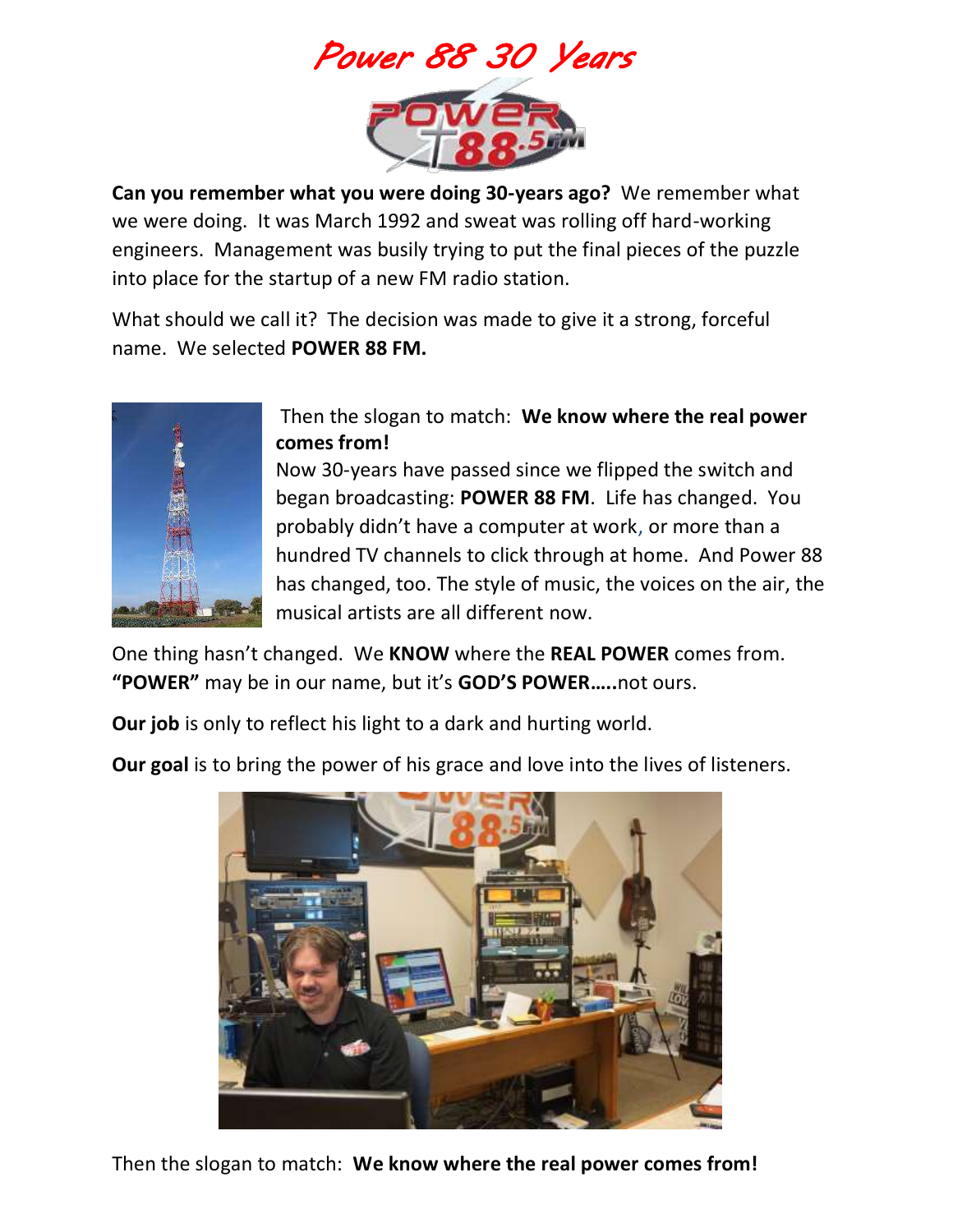

**Can you remember what you were doing 30-years ago?** We remember what we were doing. It was March 1992 and sweat was rolling off hard-working engineers. Management was busily trying to put the final pieces of the puzzle into place for the startup of a new FM radio station.

What should we call it? The decision was made to give it a strong, forceful name. We selected **POWER 88 FM.** 



Then the slogan to match: **We know where the real power comes from!** 

Now 30-years have passed since we flipped the switch and began broadcasting: **POWER 88 FM**. Life has changed. You probably didn't have a computer at work, or more than a hundred TV channels to click through at home. And Power 88 has changed, too. The style of music, the voices on the air, the musical artists are all different now.

One thing hasn't changed. We **KNOW** where the **REAL POWER** comes from. **"POWER"** may be in our name, but it's **GOD'S POWER…..**not ours.

**Our job** is only to reflect his light to a dark and hurting world.

**Our goal** is to bring the power of his grace and love into the lives of listeners.



Then the slogan to match: **We know where the real power comes from!**